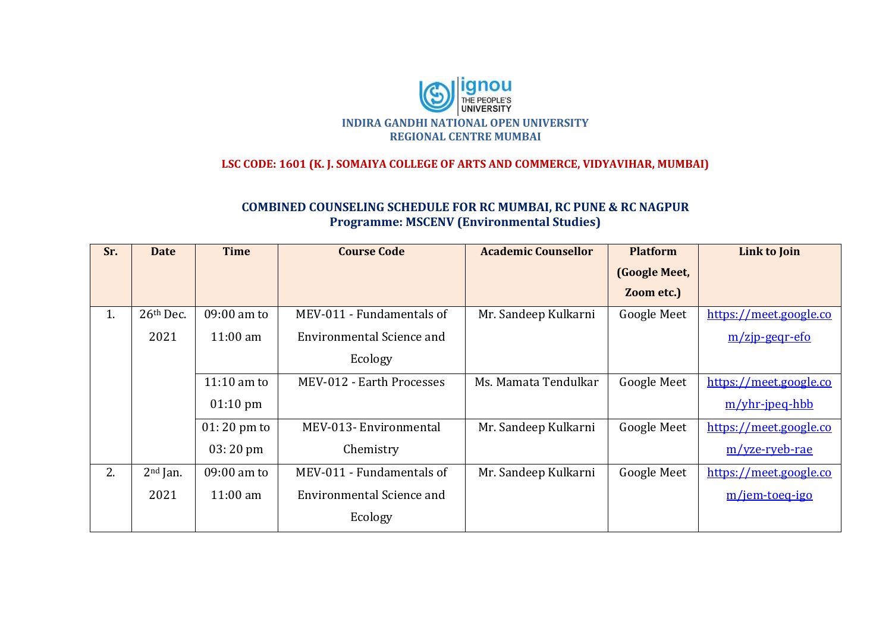

## **LSC CODE: 1601 (K. J. SOMAIYA COLLEGE OF ARTS AND COMMERCE, VIDYAVIHAR, MUMBAI)**

## **COMBINED COUNSELING SCHEDULE FOR RC MUMBAI, RC PUNE & RC NAGPUR Programme: MSCENV (Environmental Studies)**

| Sr. | <b>Date</b> | <b>Time</b>        | <b>Course Code</b>        | <b>Academic Counsellor</b> | <b>Platform</b>    | Link to Join                   |
|-----|-------------|--------------------|---------------------------|----------------------------|--------------------|--------------------------------|
|     |             |                    |                           |                            | (Google Meet,      |                                |
|     |             |                    |                           |                            | Zoom etc.)         |                                |
| 1.  | 26th Dec.   | 09:00 am to        | MEV-011 - Fundamentals of | Mr. Sandeep Kulkarni       | <b>Google Meet</b> | https://meet.google.co         |
|     | 2021        | $11:00 \text{ am}$ | Environmental Science and |                            |                    | $m/zip\text{-}geqr\text{-}efo$ |
|     |             |                    | Ecology                   |                            |                    |                                |
|     |             | $11:10$ am to      | MEV-012 - Earth Processes | Ms. Mamata Tendulkar       | <b>Google Meet</b> | https://meet.google.co         |
|     |             | $01:10 \text{ pm}$ |                           |                            |                    | $m/$ yhr-jpeq-hbb              |
|     |             | $01:20$ pm to      | MEV-013- Environmental    | Mr. Sandeep Kulkarni       | <b>Google Meet</b> | https://meet.google.co         |
|     |             | $03:20 \text{ pm}$ | Chemistry                 |                            |                    | m/yze-ryeb-rae                 |
| 2.  | $2nd$ Jan.  | 09:00 am to        | MEV-011 - Fundamentals of | Mr. Sandeep Kulkarni       | <b>Google Meet</b> | https://meet.google.co         |
|     | 2021        | $11:00 \text{ am}$ | Environmental Science and |                            |                    | m/jem-toeq-igo                 |
|     |             |                    | Ecology                   |                            |                    |                                |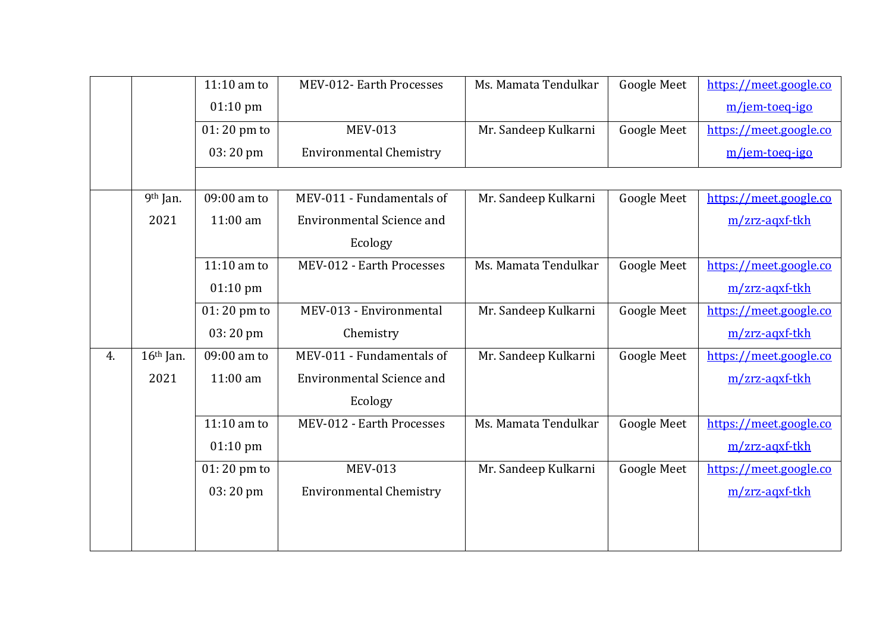|    |             | $11:10$ am to         | MEV-012- Earth Processes         | Ms. Mamata Tendulkar | <b>Google Meet</b> | https://meet.google.co |
|----|-------------|-----------------------|----------------------------------|----------------------|--------------------|------------------------|
|    |             | $01:10 \text{ pm}$    |                                  |                      |                    | m/jem-toeq-igo         |
|    |             | 01:20 pm to           | <b>MEV-013</b>                   | Mr. Sandeep Kulkarni | Google Meet        | https://meet.google.co |
|    |             | 03:20 pm              | <b>Environmental Chemistry</b>   |                      |                    | m/jem-toeq-igo         |
|    |             |                       |                                  |                      |                    |                        |
|    | 9th Jan.    | 09:00 am to           | MEV-011 - Fundamentals of        | Mr. Sandeep Kulkarni | <b>Google Meet</b> | https://meet.google.co |
|    | 2021        | 11:00 am              | <b>Environmental Science and</b> |                      |                    | m/zrz-aqxf-tkh         |
|    |             |                       | Ecology                          |                      |                    |                        |
|    |             | $11:10$ am to         | MEV-012 - Earth Processes        | Ms. Mamata Tendulkar | <b>Google Meet</b> | https://meet.google.co |
|    |             | $01:10$ pm            |                                  |                      |                    | m/zrz-aqxf-tkh         |
|    |             | $01:20$ pm to         | MEV-013 - Environmental          | Mr. Sandeep Kulkarni | <b>Google Meet</b> | https://meet.google.co |
|    |             | 03:20 pm              | Chemistry                        |                      |                    | m/zrz-aqxf-tkh         |
| 4. | $16th$ Jan. | 09:00 am to           | MEV-011 - Fundamentals of        | Mr. Sandeep Kulkarni | <b>Google Meet</b> | https://meet.google.co |
|    | 2021        | 11:00 am              | <b>Environmental Science and</b> |                      |                    | m/zrz-agxf-tkh         |
|    |             |                       | Ecology                          |                      |                    |                        |
|    |             | $11:10$ am to         | MEV-012 - Earth Processes        | Ms. Mamata Tendulkar | <b>Google Meet</b> | https://meet.google.co |
|    |             | $01:10 \text{ pm}$    |                                  |                      |                    | m/zrz-aqxf-tkh         |
|    |             | $01:20 \text{ pm}$ to | <b>MEV-013</b>                   | Mr. Sandeep Kulkarni | <b>Google Meet</b> | https://meet.google.co |
|    |             | 03:20 pm              | <b>Environmental Chemistry</b>   |                      |                    | m/zrz-agxf-tkh         |
|    |             |                       |                                  |                      |                    |                        |
|    |             |                       |                                  |                      |                    |                        |